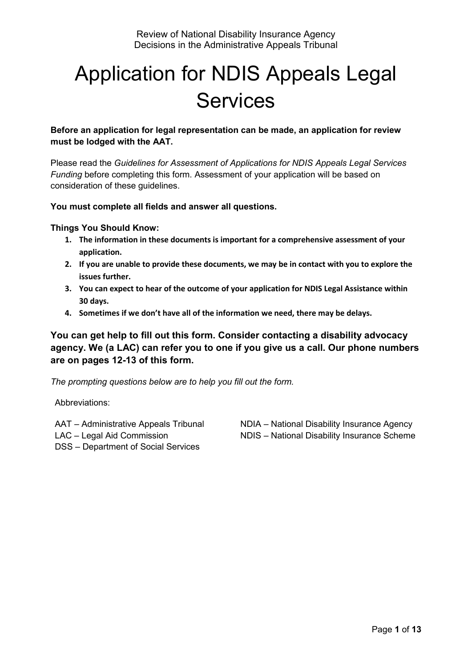# Application for NDIS Appeals Legal Services

**Before an application for legal representation can be made, an application for review must be lodged with the AAT.**

Please read the *Guidelines for Assessment of Applications for NDIS Appeals Legal Services Funding* before completing this form. Assessment of your application will be based on consideration of these guidelines.

**You must complete all fields and answer all questions.**

**Things You Should Know:**

- **1. The information in these documents is important for a comprehensive assessment of your application.**
- **2. If you are unable to provide these documents, we may be in contact with you to explore the issues further.**
- **3. You can expect to hear of the outcome of your application for NDIS Legal Assistance within 30 days.**
- **4. Sometimes if we don't have all of the information we need, there may be delays.**

**You can get help to fill out this form. Consider contacting a disability advocacy agency. We (a LAC) can refer you to one if you give us a call. Our phone numbers are on pages 12-13 of this form.** 

*The prompting questions below are to help you fill out the form.*

Abbreviations:

AAT – Administrative Appeals Tribunal LAC – Legal Aid Commission DSS – Department of Social Services

NDIA – National Disability Insurance Agency NDIS – National Disability Insurance Scheme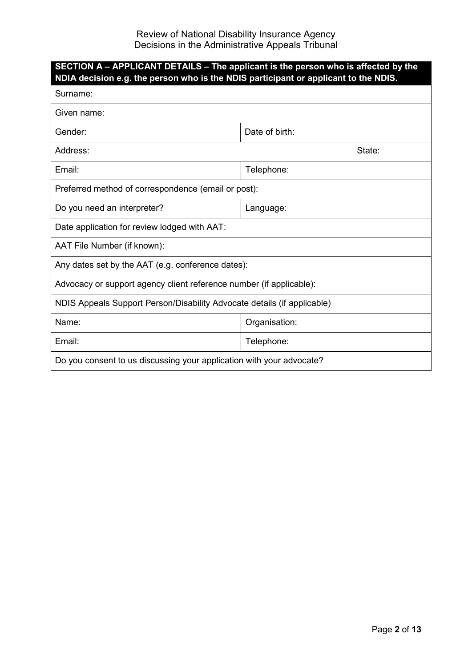| SECTION A - APPLICANT DETAILS - The applicant is the person who is affected by the<br>NDIA decision e.g. the person who is the NDIS participant or applicant to the NDIS. |                |        |  |  |
|---------------------------------------------------------------------------------------------------------------------------------------------------------------------------|----------------|--------|--|--|
| Surname:                                                                                                                                                                  |                |        |  |  |
| Given name:                                                                                                                                                               |                |        |  |  |
| Gender:                                                                                                                                                                   | Date of birth: |        |  |  |
| Address:                                                                                                                                                                  |                | State: |  |  |
| Email:                                                                                                                                                                    | Telephone:     |        |  |  |
| Preferred method of correspondence (email or post):                                                                                                                       |                |        |  |  |
| Do you need an interpreter?                                                                                                                                               | Language:      |        |  |  |
| Date application for review lodged with AAT:                                                                                                                              |                |        |  |  |
| AAT File Number (if known):                                                                                                                                               |                |        |  |  |
| Any dates set by the AAT (e.g. conference dates):                                                                                                                         |                |        |  |  |
| Advocacy or support agency client reference number (if applicable):                                                                                                       |                |        |  |  |
| NDIS Appeals Support Person/Disability Advocate details (if applicable)                                                                                                   |                |        |  |  |
| Name:                                                                                                                                                                     | Organisation:  |        |  |  |
| Email:                                                                                                                                                                    | Telephone:     |        |  |  |
| Do you consent to us discussing your application with your advocate?                                                                                                      |                |        |  |  |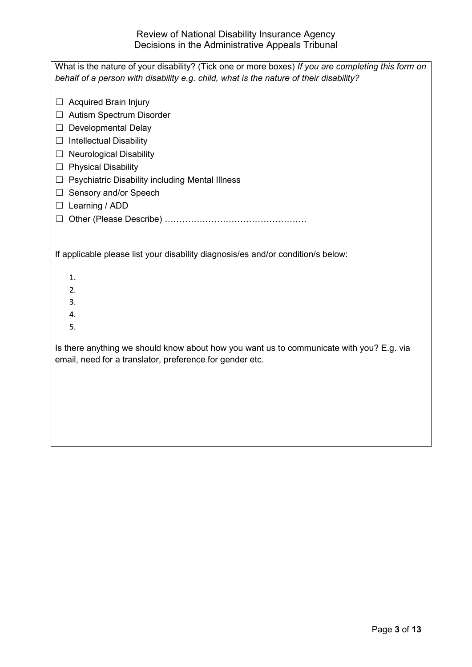| What is the nature of your disability? (Tick one or more boxes) If you are completing this form on                                                   |
|------------------------------------------------------------------------------------------------------------------------------------------------------|
| behalf of a person with disability e.g. child, what is the nature of their disability?                                                               |
| <b>Acquired Brain Injury</b>                                                                                                                         |
| Autism Spectrum Disorder                                                                                                                             |
| <b>Developmental Delay</b><br>Ш                                                                                                                      |
| $\Box$ Intellectual Disability                                                                                                                       |
| $\Box$ Neurological Disability                                                                                                                       |
| <b>Physical Disability</b><br>ш                                                                                                                      |
| Psychiatric Disability including Mental Illness<br>$\Box$                                                                                            |
| Sensory and/or Speech<br>$\Box$                                                                                                                      |
| $\Box$ Learning / ADD                                                                                                                                |
|                                                                                                                                                      |
|                                                                                                                                                      |
| If applicable please list your disability diagnosis/es and/or condition/s below:                                                                     |
| 1.                                                                                                                                                   |
| 2.                                                                                                                                                   |
| 3.                                                                                                                                                   |
| 4.                                                                                                                                                   |
| 5.                                                                                                                                                   |
| Is there anything we should know about how you want us to communicate with you? E.g. via<br>email, need for a translator, preference for gender etc. |
|                                                                                                                                                      |
|                                                                                                                                                      |
|                                                                                                                                                      |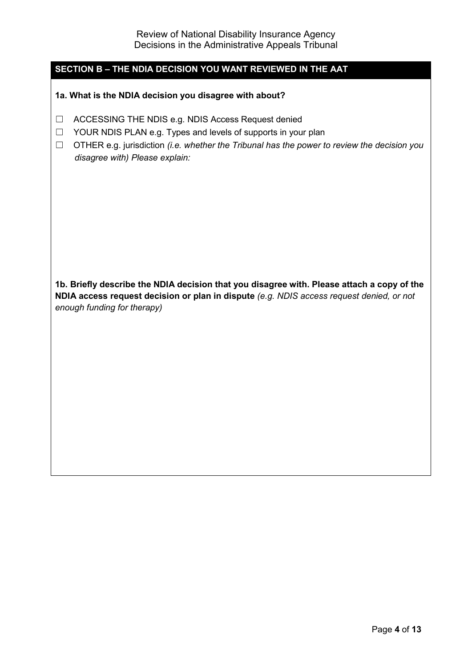## **SECTION B – THE NDIA DECISION YOU WANT REVIEWED IN THE AAT**

**1a. What is the NDIA decision you disagree with about?**

- ☐ ACCESSING THE NDIS e.g. NDIS Access Request denied
- ☐ YOUR NDIS PLAN e.g. Types and levels of supports in your plan
- ☐ OTHER e.g. jurisdiction *(i.e. whether the Tribunal has the power to review the decision you disagree with) Please explain:*

**1b. Briefly describe the NDIA decision that you disagree with. Please attach a copy of the NDIA access request decision or plan in dispute** *(e.g. NDIS access request denied, or not enough funding for therapy)*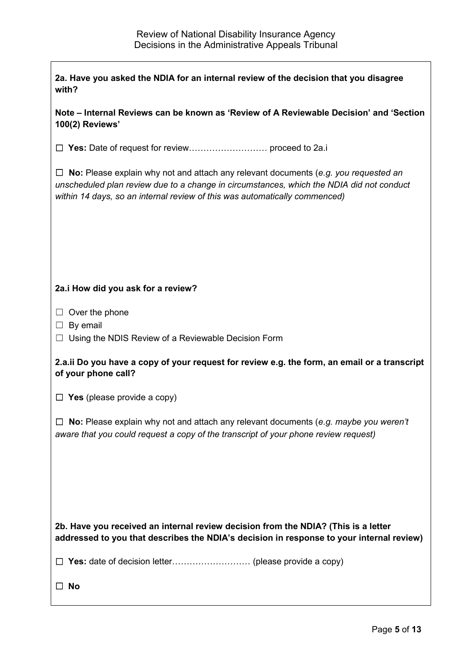| 2a. Have you asked the NDIA for an internal review of the decision that you disagree<br>with?                                                                                                                                                                        |  |  |  |
|----------------------------------------------------------------------------------------------------------------------------------------------------------------------------------------------------------------------------------------------------------------------|--|--|--|
| Note – Internal Reviews can be known as 'Review of A Reviewable Decision' and 'Section<br>100(2) Reviews'                                                                                                                                                            |  |  |  |
|                                                                                                                                                                                                                                                                      |  |  |  |
| $\Box$ No: Please explain why not and attach any relevant documents (e.g. you requested an<br>unscheduled plan review due to a change in circumstances, which the NDIA did not conduct<br>within 14 days, so an internal review of this was automatically commenced) |  |  |  |
|                                                                                                                                                                                                                                                                      |  |  |  |
|                                                                                                                                                                                                                                                                      |  |  |  |
| 2a.i How did you ask for a review?                                                                                                                                                                                                                                   |  |  |  |
| $\Box$ Over the phone<br>$\Box$ By email<br>$\Box$ Using the NDIS Review of a Reviewable Decision Form                                                                                                                                                               |  |  |  |
| 2.a.ii Do you have a copy of your request for review e.g. the form, an email or a transcript<br>of your phone call?                                                                                                                                                  |  |  |  |
| $\Box$ Yes (please provide a copy)                                                                                                                                                                                                                                   |  |  |  |
| $\Box$ No: Please explain why not and attach any relevant documents (e.g. maybe you weren't<br>aware that you could request a copy of the transcript of your phone review request)                                                                                   |  |  |  |
|                                                                                                                                                                                                                                                                      |  |  |  |
|                                                                                                                                                                                                                                                                      |  |  |  |
| 2b. Have you received an internal review decision from the NDIA? (This is a letter<br>addressed to you that describes the NDIA's decision in response to your internal review)                                                                                       |  |  |  |
|                                                                                                                                                                                                                                                                      |  |  |  |
| <b>No</b>                                                                                                                                                                                                                                                            |  |  |  |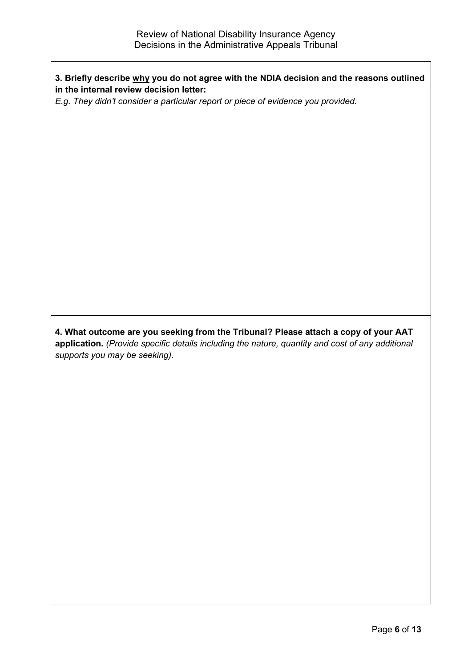## **3. Briefly describe why you do not agree with the NDIA decision and the reasons outlined in the internal review decision letter:**

*E.g. They didn't consider a particular report or piece of evidence you provided.*

**4. What outcome are you seeking from the Tribunal? Please attach a copy of your AAT application.** *(Provide specific details including the nature, quantity and cost of any additional supports you may be seeking).*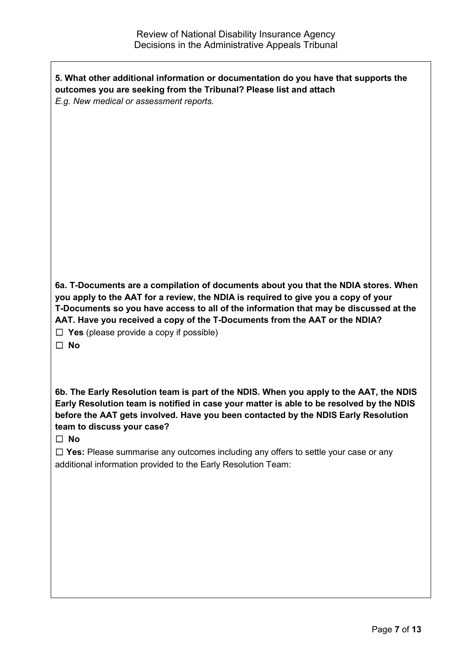| 5. What other additional information or documentation do you have that supports the<br>outcomes you are seeking from the Tribunal? Please list and attach<br>E.g. New medical or assessment reports.                                                                                                                                                                                                                                                                                 |
|--------------------------------------------------------------------------------------------------------------------------------------------------------------------------------------------------------------------------------------------------------------------------------------------------------------------------------------------------------------------------------------------------------------------------------------------------------------------------------------|
| 6a. T-Documents are a compilation of documents about you that the NDIA stores. When<br>you apply to the AAT for a review, the NDIA is required to give you a copy of your<br>T-Documents so you have access to all of the information that may be discussed at the<br>AAT. Have you received a copy of the T-Documents from the AAT or the NDIA?<br>$\Box$ Yes (please provide a copy if possible)<br>$\Box$ No                                                                      |
| 6b. The Early Resolution team is part of the NDIS. When you apply to the AAT, the NDIS<br>Early Resolution team is notified in case your matter is able to be resolved by the NDIS<br>before the AAT gets involved. Have you been contacted by the NDIS Early Resolution<br>team to discuss your case?<br>$\square$ No<br>$\Box$ Yes: Please summarise any outcomes including any offers to settle your case or any<br>additional information provided to the Early Resolution Team: |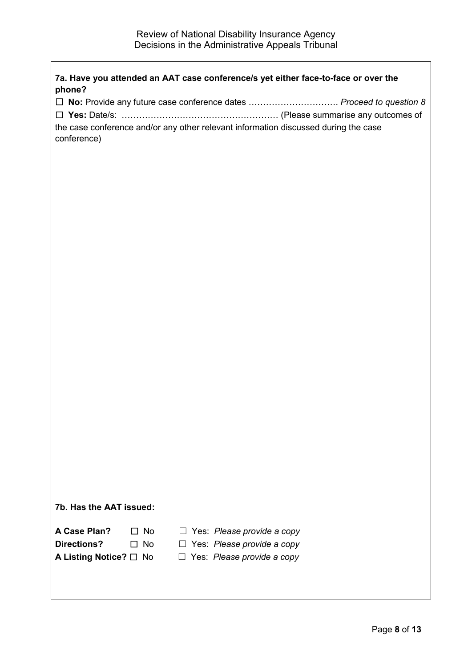|                                           |                                                                                     | □ No: Provide any future case conference dates  Proceed to question & |
|-------------------------------------------|-------------------------------------------------------------------------------------|-----------------------------------------------------------------------|
|                                           |                                                                                     |                                                                       |
|                                           | the case conference and/or any other relevant information discussed during the case |                                                                       |
| conference)                               |                                                                                     |                                                                       |
|                                           |                                                                                     |                                                                       |
|                                           |                                                                                     |                                                                       |
|                                           |                                                                                     |                                                                       |
|                                           |                                                                                     |                                                                       |
|                                           |                                                                                     |                                                                       |
|                                           |                                                                                     |                                                                       |
|                                           |                                                                                     |                                                                       |
|                                           |                                                                                     |                                                                       |
|                                           |                                                                                     |                                                                       |
|                                           |                                                                                     |                                                                       |
|                                           |                                                                                     |                                                                       |
|                                           |                                                                                     |                                                                       |
|                                           |                                                                                     |                                                                       |
|                                           |                                                                                     |                                                                       |
|                                           |                                                                                     |                                                                       |
|                                           |                                                                                     |                                                                       |
|                                           |                                                                                     |                                                                       |
|                                           |                                                                                     |                                                                       |
|                                           |                                                                                     |                                                                       |
|                                           |                                                                                     |                                                                       |
|                                           |                                                                                     |                                                                       |
|                                           |                                                                                     |                                                                       |
|                                           |                                                                                     |                                                                       |
|                                           |                                                                                     |                                                                       |
|                                           |                                                                                     |                                                                       |
|                                           |                                                                                     |                                                                       |
|                                           |                                                                                     |                                                                       |
| 7b. Has the AAT issued:                   |                                                                                     |                                                                       |
| A Case Plan?<br><b>No</b><br>$\perp$      | $\Box$                                                                              |                                                                       |
| <b>Directions?</b><br><b>No</b><br>$\Box$ | Yes: Please provide a copy                                                          |                                                                       |
|                                           | Yes: Please provide a copy<br>$\Box$                                                |                                                                       |
| A Listing Notice? □ No                    | $\Box$ Yes: Please provide a copy                                                   |                                                                       |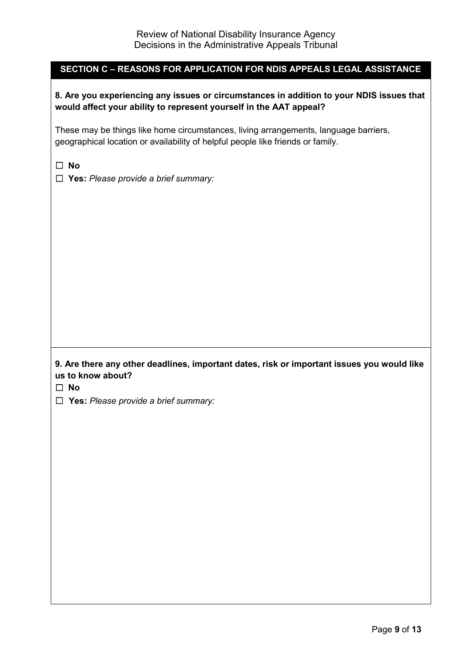## **SECTION C – REASONS FOR APPLICATION FOR NDIS APPEALS LEGAL ASSISTANCE**

#### **8. Are you experiencing any issues or circumstances in addition to your NDIS issues that would affect your ability to represent yourself in the AAT appeal?**

These may be things like home circumstances, living arrangements, language barriers, geographical location or availability of helpful people like friends or family.

☐ **No**

☐ **Yes:** *Please provide a brief summary:*

#### **9. Are there any other deadlines, important dates, risk or important issues you would like us to know about?**

☐ **No**

☐ **Yes:** *Please provide a brief summary:*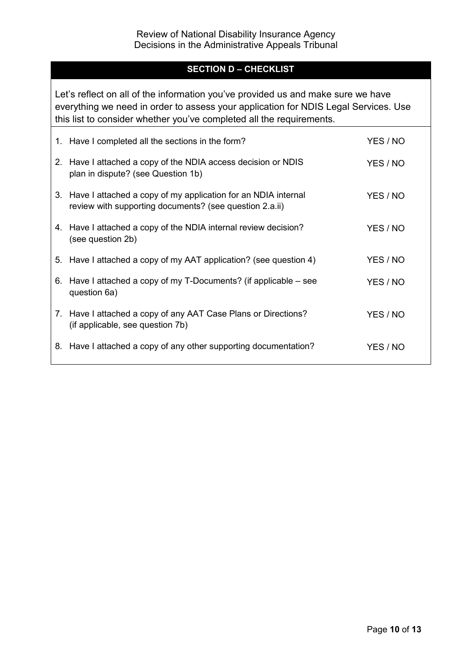# **SECTION D – CHECKLIST**

Let's reflect on all of the information you've provided us and make sure we have everything we need in order to assess your application for NDIS Legal Services. Use this list to consider whether you've completed all the requirements.

| 1. Have I completed all the sections in the form?                                                                           | YES / NO |
|-----------------------------------------------------------------------------------------------------------------------------|----------|
| 2. Have I attached a copy of the NDIA access decision or NDIS<br>plan in dispute? (see Question 1b)                         | YES / NO |
| 3. Have I attached a copy of my application for an NDIA internal<br>review with supporting documents? (see question 2.a.ii) | YES / NO |
| 4. Have I attached a copy of the NDIA internal review decision?<br>(see question 2b)                                        | YES / NO |
| 5. Have I attached a copy of my AAT application? (see question 4)                                                           | YES / NO |
| 6. Have I attached a copy of my T-Documents? (if applicable $-$ see<br>question 6a)                                         | YES / NO |
| 7. Have I attached a copy of any AAT Case Plans or Directions?<br>(if applicable, see question 7b)                          | YES / NO |
| 8. Have I attached a copy of any other supporting documentation?                                                            | YES / NO |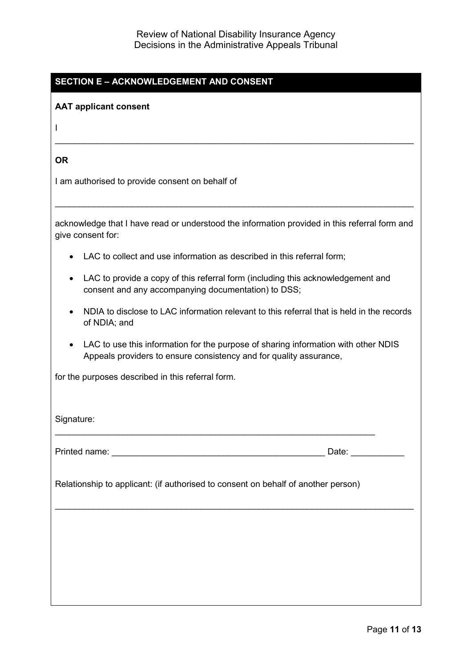# **SECTION E – ACKNOWLEDGEMENT AND CONSENT**

#### **AAT applicant consent**

I

**OR**

I am authorised to provide consent on behalf of

acknowledge that I have read or understood the information provided in this referral form and give consent for:

\_\_\_\_\_\_\_\_\_\_\_\_\_\_\_\_\_\_\_\_\_\_\_\_\_\_\_\_\_\_\_\_\_\_\_\_\_\_\_\_\_\_\_\_\_\_\_\_\_\_\_\_\_\_\_\_\_\_\_\_\_\_\_\_\_\_\_\_\_\_\_\_\_\_

\_\_\_\_\_\_\_\_\_\_\_\_\_\_\_\_\_\_\_\_\_\_\_\_\_\_\_\_\_\_\_\_\_\_\_\_\_\_\_\_\_\_\_\_\_\_\_\_\_\_\_\_\_\_\_\_\_\_\_\_\_\_\_\_\_\_\_\_\_\_\_\_\_\_

- LAC to collect and use information as described in this referral form;
- LAC to provide a copy of this referral form (including this acknowledgement and consent and any accompanying documentation) to DSS;
- NDIA to disclose to LAC information relevant to this referral that is held in the records of NDIA; and
- LAC to use this information for the purpose of sharing information with other NDIS Appeals providers to ensure consistency and for quality assurance,

for the purposes described in this referral form.

Signature:

Printed name: \_\_\_\_\_\_\_\_\_\_\_\_\_\_\_\_\_\_\_\_\_\_\_\_\_\_\_\_\_\_\_\_\_\_\_\_\_\_\_\_\_\_\_\_ Date: \_\_\_\_\_\_\_\_\_\_\_

Relationship to applicant: (if authorised to consent on behalf of another person)

\_\_\_\_\_\_\_\_\_\_\_\_\_\_\_\_\_\_\_\_\_\_\_\_\_\_\_\_\_\_\_\_\_\_\_\_\_\_\_\_\_\_\_\_\_\_\_\_\_\_\_\_\_\_\_\_\_\_\_\_\_\_\_\_\_\_\_\_\_\_\_\_\_\_

\_\_\_\_\_\_\_\_\_\_\_\_\_\_\_\_\_\_\_\_\_\_\_\_\_\_\_\_\_\_\_\_\_\_\_\_\_\_\_\_\_\_\_\_\_\_\_\_\_\_\_\_\_\_\_\_\_\_\_\_\_\_\_\_\_\_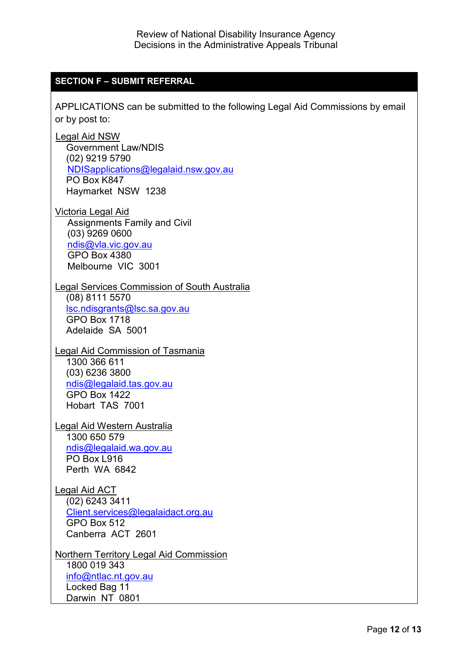## **SECTION F – SUBMIT REFERRAL**

APPLICATIONS can be submitted to the following Legal Aid Commissions by email or by post to:

Legal Aid NSW Government Law/NDIS (02) 9219 5790 [NDISapplications@legalaid.nsw.gov.au](mailto:NDISapplications@legalaid.nsw.gov.au) PO Box K847 Haymarket NSW 1238

Victoria Legal Aid Assignments Family and Civil (03) 9269 0600 [ndis@vla.vic.gov.au](mailto:ndis@vla.vic.gov.au) GPO Box 4380 Melbourne VIC 3001

#### Legal Services Commission of South Australia

(08) 8111 5570 [lsc.ndisgrants@lsc.sa.gov.au](mailto:lsc.ndisgrants@lsc.sa.gov.au) GPO Box 1718 Adelaide SA 5001

#### Legal Aid Commission of Tasmania 1300 366 611 (03) 6236 3800

[ndis@legalaid.tas.gov.au](mailto:ndis@legalaid.tas.gov.au) GPO Box 1422 Hobart TAS 7001

#### Legal Aid Western Australia 1300 650 579 [ndis@legalaid.wa.gov.au](mailto:ndis@legalaid.wa.gov.au) PO Box L916 Perth WA 6842

# Legal Aid ACT (02) 6243 3411 [Client.services@legalaidact.org.au](mailto:Client.services@legalaidact.org.au) GPO Box 512 Canberra ACT 2601

Northern Territory Legal Aid Commission 1800 019 343 [info@ntlac.nt.gov.au](mailto:info@ntlac.nt.gov.au) Locked Bag 11 Darwin NT 0801